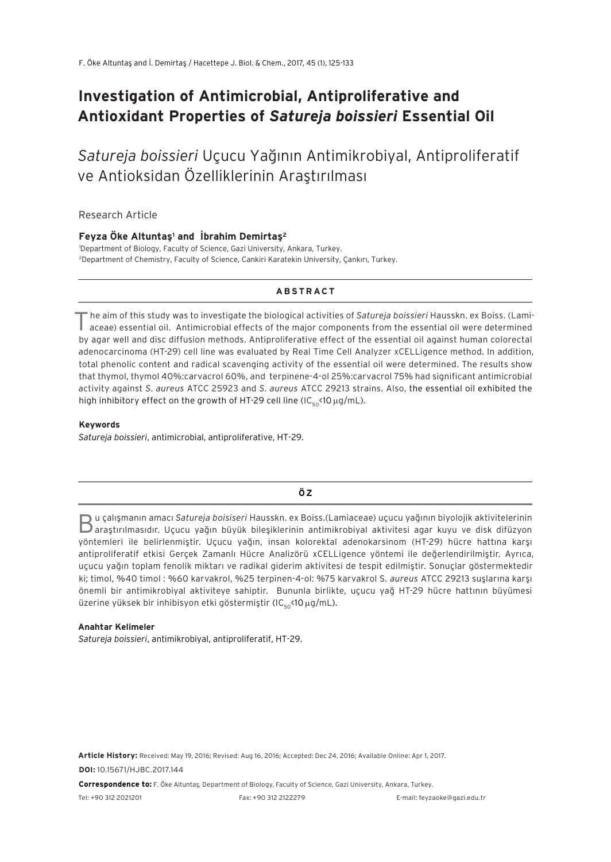# **Investigation of Antimicrobial, Antiproliferative and Antioxidant Properties of** *Satureja boissieri* **Essential Oil**

*Satureja boissieri* Uçucu Yağının Antimikrobiyal, Antiproliferatif ve Antioksidan Özelliklerinin Araştırılması

Research Article

#### **Feyza Öke Altuntaş1 and İbrahim Demirtaş2**

1 Department of Biology, Faculty of Science, Gazi University, Ankara, Turkey. 2 Department of Chemistry, Faculty of Science, Cankiri Karatekin University, Çankırı, Turkey.

## **ABSTRACT**

The aim of this study was to investigate the biological activities of *Satureja boissieri* Hausskn. ex Boiss. (Lamiaceae) essential oil. Antimicrobial effects of the major components from the essential oil were determined by agar well and disc diffusion methods. Antiproliferative effect of the essential oil against human colorectal adenocarcinoma (HT-29) cell line was evaluated by Real Time Cell Analyzer xCELLigence method. In addition, total phenolic content and radical scavenging activity of the essential oil were determined. The results show that thymol, thymol 40%:carvacrol 60%, and terpinene-4-ol 25%:carvacrol 75% had significant antimicrobial activity against *S. aureus* ATCC 25923 and *S. aureus* ATCC 29213 strains. Also, the essential oil exhibited the high inhibitory effect on the growth of HT-29 cell line (IC $_{50}$ <10  $\mu$ g/mL).

#### **Keywords**

*Satureja boissieri*, antimicrobial, antiproliferative, HT-29.

#### **ÖZ**

Bu çalışmanın amacı *Satureja boisiseri* Hausskn. ex Boiss.(Lamiaceae) uçucu yağının biyolojik aktivitelerinin araştırılmasıdır. Uçucu yağın büyük bileşiklerinin antimikrobiyal aktivitesi agar kuyu ve disk difüzyon yöntemleri ile belirlenmiştir. Uçucu yağın, insan kolorektal adenokarsinom (HT-29) hücre hattına karşı antiproliferatif etkisi Gerçek Zamanlı Hücre Analizörü xCELLigence yöntemi ile değerlendirilmiştir. Ayrıca, uçucu yağın toplam fenolik miktarı ve radikal giderim aktivitesi de tespit edilmiştir. Sonuçlar göstermektedir ki; timol, %40 timol : %60 karvakrol, %25 terpinen-4-ol: %75 karvakrol S*. aureus* ATCC 29213 suşlarına karşı önemli bir antimikrobiyal aktiviteye sahiptir. Bununla birlikte, uçucu yağ HT-29 hücre hattının büyümesi üzerine yüksek bir inhibisyon etki göstermiştir (IC<sub>50</sub><10 µg/mL).

#### **Anahtar Kelimeler**

*Satureja boissieri*, antimikrobiyal, antiproliferatif, HT-29.

**Article History:** Received: May 19, 2016; Revised: Aug 16, 2016; Accepted: Dec 24, 2016; Available Online: Apr 1, 2017. **DOI:** 10.15671/HJBC.2017.144

**Correspondence to:** F. Öke Altuntaş, Department of Biology, Faculty of Science, Gazi University, Ankara, Turkey.

Tel: +90 312 2021201 Fax: +90 312 2122279 E-mail: feyzaoke@gazi.edu.tr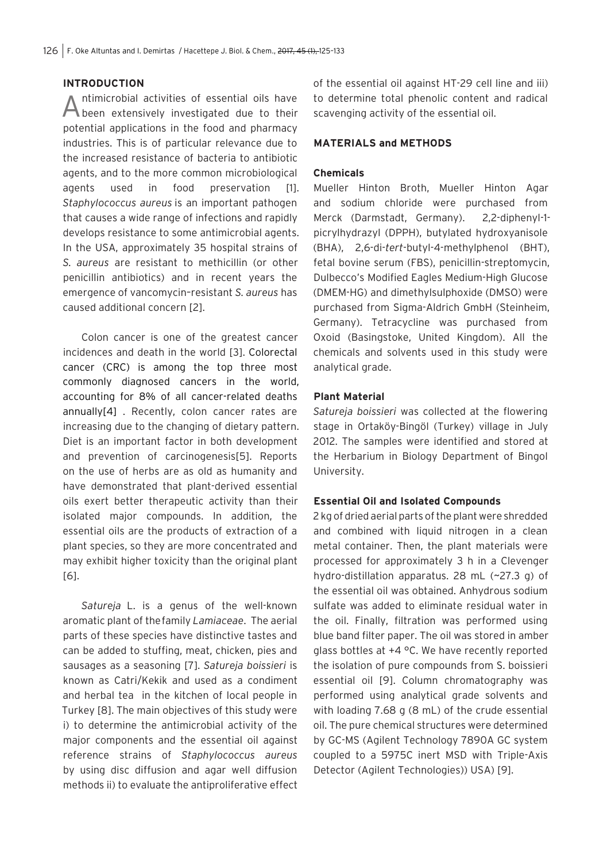## **INTRODUCTION**

Antimicrobial activities of essential oils have been extensively investigated due to their potential applications in the food and pharmacy industries. This is of particular relevance due to the increased resistance of bacteria to antibiotic agents, and to the more common microbiological agents used in food preservation [1]. *Staphylococcus aureus* is an important pathogen that causes a wide range of infections and rapidly develops resistance to some antimicrobial agents. In the USA, approximately 35 hospital strains of *S. aureus* are resistant to methicillin (or other penicillin antibiotics) and in recent years the emergence of vancomycin–resistant *S. aureus* has caused additional concern [2].

Colon cancer is one of the greatest cancer incidences and death in the world [3]. Colorectal cancer (CRC) is among the top three most commonly diagnosed cancers in the world, accounting for 8% of all cancer-related deaths annually[4] . Recently, colon cancer rates are increasing due to the changing of dietary pattern. Diet is an important factor in both development and prevention of carcinogenesis[5]. Reports on the use of herbs are as old as humanity and have demonstrated that plant-derived essential oils exert better therapeutic activity than their isolated major compounds. In addition, the essential oils are the products of extraction of a plant species, so they are more concentrated and may exhibit higher toxicity than the original plant [6].

*Satureja* L. is a genus of the well-known aromatic plant of the family *Lamiaceae*. The aerial parts of these species have distinctive tastes and can be added to stuffing, meat, chicken, pies and sausages as a seasoning [7]. *Satureja boissieri* is known as Catri/Kekik and used as a condiment and herbal tea in the kitchen of local people in Turkey [8]. The main objectives of this study were i) to determine the antimicrobial activity of the major components and the essential oil against reference strains of *Staphylococcus aureus*  by using disc diffusion and agar well diffusion methods ii) to evaluate the antiproliferative effect

of the essential oil against HT-29 cell line and iii) to determine total phenolic content and radical scavenging activity of the essential oil.

#### **MATERIALS and METHODS**

## **Chemicals**

Mueller Hinton Broth, Mueller Hinton Agar and sodium chloride were purchased from Merck (Darmstadt, Germany). 2,2-diphenyl-1 picrylhydrazyl (DPPH), butylated hydroxyanisole (BHA), 2,6-di-*tert*-butyl-4-methylphenol (BHT), fetal bovine serum (FBS), penicillin-streptomycin, Dulbecco's Modified Eagles Medium-High Glucose (DMEM-HG) and dimethylsulphoxide (DMSO) were purchased from Sigma-Aldrich GmbH (Steinheim, Germany). Tetracycline was purchased from Oxoid (Basingstoke, United Kingdom). All the chemicals and solvents used in this study were analytical grade.

## **Plant Material**

*Satureja boissieri* was collected at the flowering stage in Ortaköy-Bingöl (Turkey) village in July 2012. The samples were identified and stored at the Herbarium in Biology Department of Bingol University.

## **Essential Oil and Isolated Compounds**

2 kg of dried aerial parts of the plant were shredded and combined with liquid nitrogen in a clean metal container. Then, the plant materials were processed for approximately 3 h in a Clevenger hydro-distillation apparatus. 28 mL (~27.3 g) of the essential oil was obtained. Anhydrous sodium sulfate was added to eliminate residual water in the oil. Finally, filtration was performed using blue band filter paper. The oil was stored in amber glass bottles at  $+4$  °C. We have recently reported the isolation of pure compounds from S. boissieri essential oil [9]. Column chromatography was performed using analytical grade solvents and with loading 7.68 g (8 mL) of the crude essential oil. The pure chemical structures were determined by GC-MS (Agilent Technology 7890A GC system coupled to a 5975C inert MSD with Triple-Axis Detector (Agilent Technologies)) USA) [9].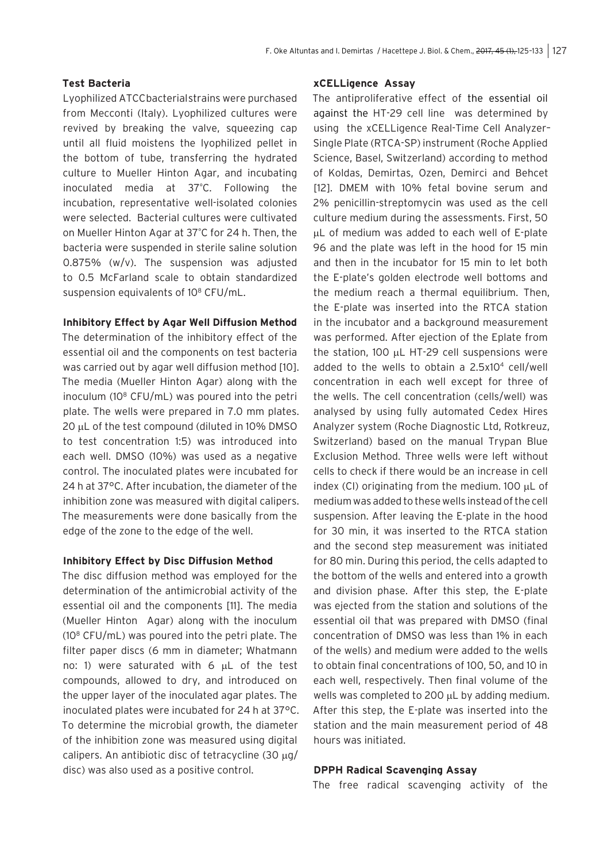## **Test Bacteria**

Lyophilized ATCC bacterial strains were purchased from Mecconti (Italy). Lyophilized cultures were revived by breaking the valve, squeezing cap until all fluid moistens the lyophilized pellet in the bottom of tube, transferring the hydrated culture to Mueller Hinton Agar, and incubating inoculated media at 37º C. Following the incubation, representative well-isolated colonies were selected.Bacterial cultures were cultivated on Mueller Hinton Agar at 37° C for 24 h. Then, the bacteria were suspended in sterile saline solution 0.875% (w/v). The suspension was adjusted to 0.5 McFarland scale to obtain standardized suspension equivalents of 10<sup>8</sup> CFU/mL.

## **Inhibitory Effect by Agar Well Diffusion Method**

The determination of the inhibitory effect of the essential oil and the components on test bacteria was carried out by agar well diffusion method [10]. The media (Mueller Hinton Agar) along with the inoculum ( $10^8$  CFU/mL) was poured into the petri plate. The wells were prepared in 7.0 mm plates. 20 µL of the test compound (diluted in 10% DMSO to test concentration 1:5) was introduced into each well. DMSO (10%) was used as a negative control. The inoculated plates were incubated for 24 h at 37°C. After incubation, the diameter of the inhibition zone was measured with digital calipers. The measurements were done basically from the edge of the zone to the edge of the well.

#### **Inhibitory Effect by Disc Diffusion Method**

The disc diffusion method was employed for the determination of the antimicrobial activity of the essential oil and the components [11]. The media (Mueller Hinton Agar) along with the inoculum (108 CFU/mL) was poured into the petri plate. The filter paper discs (6 mm in diameter; Whatmann no: 1) were saturated with 6 µL of the test compounds, allowed to dry, and introduced on the upper layer of the inoculated agar plates. The inoculated plates were incubated for 24 h at 37°C. To determine the microbial growth, the diameter of the inhibition zone was measured using digital calipers. An antibiotic disc of tetracycline (30 µg/ disc) was also used as a positive control.

## **xCELLigence Assay**

The antiproliferative effect of the essential oil against the HT-29 cell line was determined by using the xCELLigence Real-Time Cell Analyzer– Single Plate (RTCA-SP) instrument (Roche Applied Science, Basel, Switzerland) according to method of Koldas, Demirtas, Ozen, Demirci and Behcet [12]. DMEM with 10% fetal bovine serum and 2% penicillin-streptomycin was used as the cell culture medium during the assessments. First, 50 µL of medium was added to each well of E-plate 96 and the plate was left in the hood for 15 min and then in the incubator for 15 min to let both the E-plate's golden electrode well bottoms and the medium reach a thermal equilibrium. Then, the E-plate was inserted into the RTCA station in the incubator and a background measurement was performed. After ejection of the Eplate from the station, 100 µL HT-29 cell suspensions were added to the wells to obtain a 2.5x104 cell/well concentration in each well except for three of the wells. The cell concentration (cells/well) was analysed by using fully automated Cedex Hires Analyzer system (Roche Diagnostic Ltd, Rotkreuz, Switzerland) based on the manual Trypan Blue Exclusion Method. Three wells were left without cells to check if there would be an increase in cell index (CI) originating from the medium. 100  $\mu$ L of medium was added to these wells instead of the cell suspension. After leaving the E-plate in the hood for 30 min, it was inserted to the RTCA station and the second step measurement was initiated for 80 min. During this period, the cells adapted to the bottom of the wells and entered into a growth and division phase. After this step, the E-plate was ejected from the station and solutions of the essential oil that was prepared with DMSO (final concentration of DMSO was less than 1% in each of the wells) and medium were added to the wells to obtain final concentrations of 100, 50, and 10 in each well, respectively. Then final volume of the wells was completed to 200 µL by adding medium. After this step, the E-plate was inserted into the station and the main measurement period of 48 hours was initiated.

## **DPPH Radical Scavenging Assay**

The free radical scavenging activity of the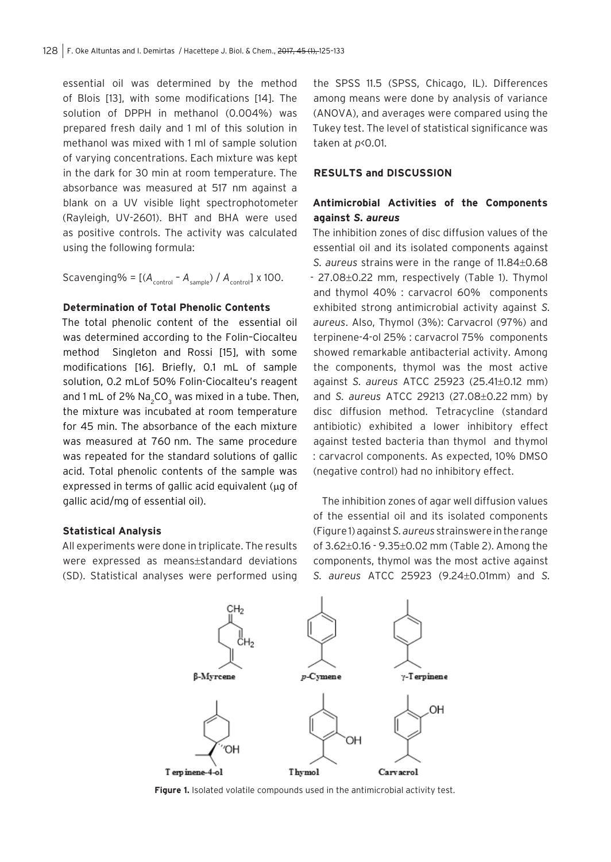essential oil was determined by the method of Blois [13], with some modifications [14]. The solution of DPPH in methanol (0.004%) was prepared fresh daily and 1 ml of this solution in methanol was mixed with 1 ml of sample solution of varying concentrations. Each mixture was kept in the dark for 30 min at room temperature. The absorbance was measured at 517 nm against a blank on a UV visible light spectrophotometer (Rayleigh, UV-2601). BHT and BHA were used as positive controls. The activity was calculated using the following formula:

Scavenging% =  $[(A_{control} - A_{sample}) / A_{control}] \times 100$ .

## **Determination of Total Phenolic Contents**

The total phenolic content of the essential oil was determined according to the Folin–Ciocalteu method Singleton and Rossi [15], with some modifications [16]. Briefly, 0.1 mL of sample solution, 0.2 mLof 50% Folin-Ciocalteu's reagent and 1 mL of 2%  $\mathsf{Na}\xspace_{\mathsf{2}}\mathsf{CO}\xspace_{\mathsf{3}}$  was mixed in a tube. Then, the mixture was incubated at room temperature for 45 min. The absorbance of the each mixture was measured at 760 nm. The same procedure was repeated for the standard solutions of gallic acid. Total phenolic contents of the sample was expressed in terms of gallic acid equivalent ( $\mu$ g of gallic acid/mg of essential oil).

#### **Statistical Analysis**

All experiments were done in triplicate. The results were expressed as means±standard deviations (SD). Statistical analyses were performed using

the SPSS 11.5 (SPSS, Chicago, IL). Differences among means were done by analysis of variance (ANOVA), and averages were compared using the Tukey test. The level of statistical significance was taken at *p*<0.01.

## **RESULTS and DISCUSSION**

# **Antimicrobial Activities of the Components against** *S. aureus*

The inhibition zones of disc diffusion values of the essential oil and its isolated components against *S. aureus* strains were in the range of 11.84±0.68 - 27.08±0.22 mm, respectively (Table 1). Thymol and thymol 40% : carvacrol 60% components exhibited strong antimicrobial activity against *S. aureus*. Also, Thymol (3%): Carvacrol (97%) and terpinene-4-ol 25% : carvacrol 75% components showed remarkable antibacterial activity. Among the components, thymol was the most active against *S. aureus* ATCC 25923 (25.41±0.12 mm) and *S. aureus* ATCC 29213 (27.08±0.22 mm) by disc diffusion method. Tetracycline (standard antibiotic) exhibited a lower inhibitory effect against tested bacteria than thymol and thymol : carvacrol components. As expected, 10% DMSO (negative control) had no inhibitory effect.

 The inhibition zones of agar well diffusion values of the essential oil and its isolated components (Figure 1) against *S. aureus* strains were in the range of 3.62±0.16 - 9.35±0.02 mm (Table 2). Among the components, thymol was the most active against *S. aureus* ATCC 25923 (9.24±0.01mm) and *S.* 



**Figure 1.** Isolated volatile compounds used in the antimicrobial activity test.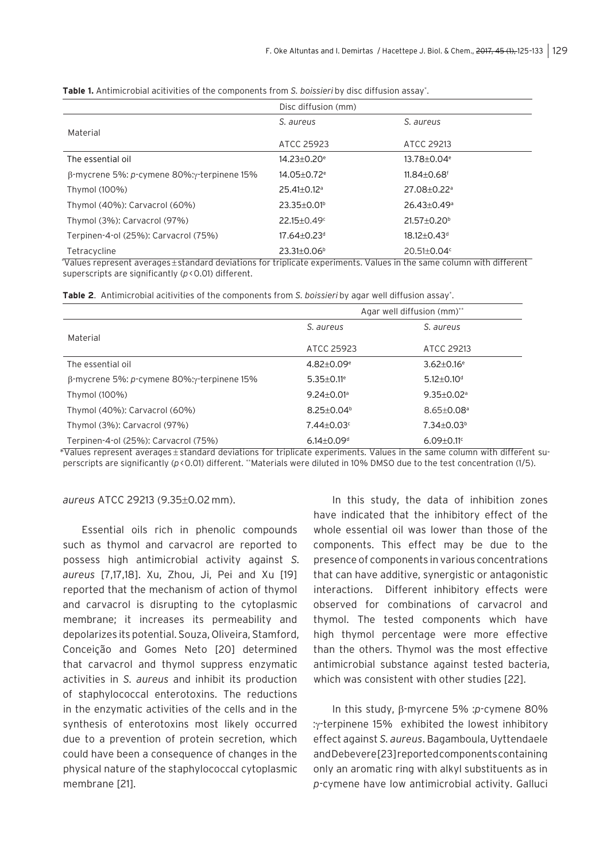|                                                            | Disc diffusion (mm)         |                               |
|------------------------------------------------------------|-----------------------------|-------------------------------|
|                                                            | S. aureus                   | S. aureus                     |
| Material                                                   | ATCC 25923                  | ATCC 29213                    |
| The essential oil                                          | $14.23 + 0.20$ <sup>e</sup> | $13.78 + 0.04$ <sup>e</sup>   |
| $\beta$ -mycrene 5%: p-cymene 80%: $\gamma$ -terpinene 15% | $14.05 + 0.72$ <sup>e</sup> | $11.84 + 0.68$ <sup>f</sup>   |
| Thymol (100%)                                              | $25.41 + 0.12$ <sup>a</sup> | 27.08+0.22 <sup>a</sup>       |
| Thymol (40%): Carvacrol (60%)                              | $23.35 + 0.01^b$            | $26.43 + 0.49$ <sup>a</sup>   |
| Thymol (3%): Carvacrol (97%)                               | $22.15 + 0.49^{\circ}$      | $21.57 + 0.20^b$              |
| Terpinen-4-ol (25%): Carvacrol (75%)                       | $17.64 + 0.23$ <sup>d</sup> | $18.12 \pm 0.43$ <sup>d</sup> |
| Tetracycline                                               | $23.31 \pm 0.06^{\circ}$    | $20.51 \pm 0.04$ <sup>c</sup> |

**Table 1.** Antimicrobial acitivities of the components from *S. boissieri* by disc diffusion assay\* .

\* Values represent averages ± standard deviations for triplicate experiments. Values in the same column with different superscripts are significantly (*p* < 0.01) different.

|  |  |  |  |  | Table 2. Antimicrobial acitivities of the components from S. boissieri by agar well diffusion assay*. |  |
|--|--|--|--|--|-------------------------------------------------------------------------------------------------------|--|
|--|--|--|--|--|-------------------------------------------------------------------------------------------------------|--|

|                                             | Agar well diffusion (mm)**   |                              |
|---------------------------------------------|------------------------------|------------------------------|
|                                             | S. aureus                    | S. aureus                    |
| Material                                    | ATCC 25923                   | ATCC 29213                   |
| The essential oil                           | $4.82 + 0.09$ <sup>e</sup>   | $3.62 + 0.16$ <sup>e</sup>   |
| β-mycrene 5%: p-cymene 80%: γ-terpinene 15% | $5.35 \pm 0.11$ <sup>e</sup> | $5.12 + 0.10d$               |
| Thymol (100%)                               | $9.24 + 0.01$ <sup>a</sup>   | $9.35 \pm 0.02$ <sup>a</sup> |
| Thymol (40%): Carvacrol (60%)               | $8.25 + 0.04$ <sup>b</sup>   | $8.65 + 0.08$ <sup>a</sup>   |
| Thymol (3%): Carvacrol (97%)                | $7.44 + 0.03$ °              | $7.34 + 0.03b$               |
| Terpinen-4-ol (25%): Carvacrol (75%)        | $6.14 \pm 0.09$ <sup>d</sup> | $6.09 \pm 0.11$ <sup>c</sup> |

\*Values represent averages ± standard deviations for triplicate experiments. Values in the same column with different superscripts are significantly (*p* < 0.01) different. \*\*Materials were diluted in 10% DMSO due to the test concentration (1/5).

#### *aureus* ATCC 29213 (9.35±0.02 mm).

Essential oils rich in phenolic compounds such as thymol and carvacrol are reported to possess high antimicrobial activity against *S. aureus* [7,17,18]. Xu, Zhou, Ji, Pei and Xu [19] reported that the mechanism of action of thymol and carvacrol is disrupting to the cytoplasmic membrane; it increases its permeability and depolarizes its potential. Souza, Oliveira, Stamford, Conceição and Gomes Neto [20] determined that carvacrol and thymol suppress enzymatic activities in *S. aureus* and inhibit its production of staphylococcal enterotoxins. The reductions in the enzymatic activities of the cells and in the synthesis of enterotoxins most likely occurred due to a prevention of protein secretion, which could have been a consequence of changes in the physical nature of the staphylococcal cytoplasmic membrane [21].

In this study, the data of inhibition zones have indicated that the inhibitory effect of the whole essential oil was lower than those of the components. This effect may be due to the presence of components in various concentrations that can have additive, synergistic or antagonistic interactions. Different inhibitory effects were observed for combinations of carvacrol and thymol. The tested components which have high thymol percentage were more effective than the others. Thymol was the most effective antimicrobial substance against tested bacteria, which was consistent with other studies [22].

In this study, β-myrcene 5% :*p*-cymene 80% :γ-terpinene 15% exhibited the lowest inhibitory effect against *S. aureus*. Bagamboula, Uyttendaele and Debevere [23] reported components containing only an aromatic ring with alkyl substituents as in *p-*cymene have low antimicrobial activity. Galluci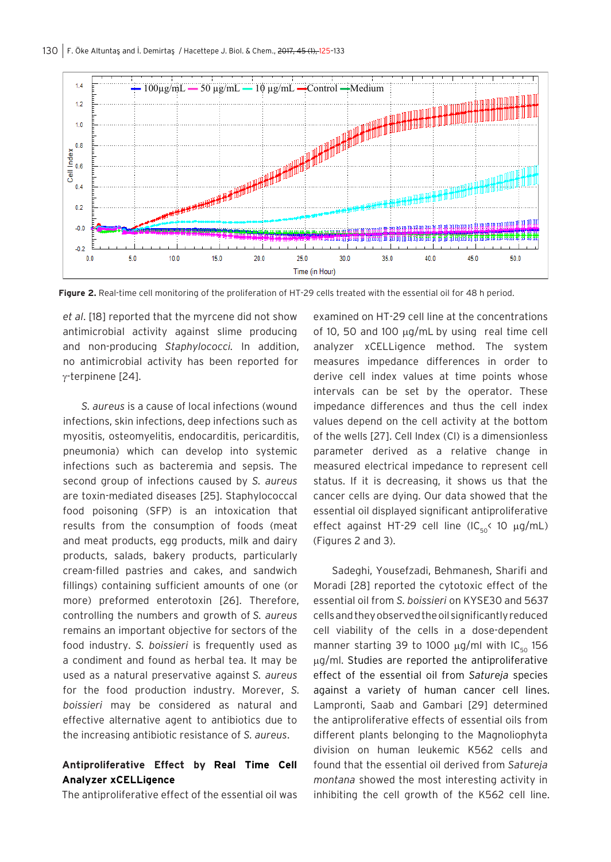

**Figure 2.** Real-time cell monitoring of the proliferation of HT-29 cells treated with the essential oil for 48 h period.

*et al*. [18] reported that the myrcene did not show antimicrobial activity against slime producing and non-producing *Staphylococci.* In addition, no antimicrobial activity has been reported for γ-terpinene [24].

*S. aureus* is a cause of local infections (wound infections, skin infections, deep infections such as myositis, osteomyelitis, endocarditis, pericarditis, pneumonia) which can develop into systemic infections such as bacteremia and sepsis. The second group of infections caused by *S. aureus* are toxin-mediated diseases [25]. Staphylococcal food poisoning (SFP) is an intoxication that results from the consumption of foods (meat and meat products, egg products, milk and dairy products, salads, bakery products, particularly cream-filled pastries and cakes, and sandwich fillings) containing sufficient amounts of one (or more) preformed enterotoxin [26]. Therefore, controlling the numbers and growth of *S. aureus*  remains an important objective for sectors of the food industry. *S. boissieri* is frequently used as a condiment and found as herbal tea. It may be used as a natural preservative against *S. aureus*  for the food production industry. Morever, *S. boissieri* may be considered as natural and effective alternative agent to antibiotics due to the increasing antibiotic resistance of *S. aureus*.

# **Antiproliferative Effect by Real Time Cell Analyzer xCELLigence**

The antiproliferative effect of the essential oil was

examined on HT-29 cell line at the concentrations of 10, 50 and 100  $\mu$ g/mL by using real time cell analyzer xCELLigence method. The system measures impedance differences in order to derive cell index values at time points whose intervals can be set by the operator. These impedance differences and thus the cell index values depend on the cell activity at the bottom of the wells [27]. Cell Index (CI) is a dimensionless parameter derived as a relative change in measured electrical impedance to represent cell status. If it is decreasing, it shows us that the cancer cells are dying. Our data showed that the essential oil displayed significant antiproliferative effect against HT-29 cell line (IC<sub>50</sub>< 10  $\mu$ g/mL) (Figures 2 and 3).

Sadeghi, Yousefzadi, Behmanesh, Sharifi and Moradi [28] reported the cytotoxic effect of the essential oil from *S. boissieri* on KYSE30 and 5637 cells and they observed the oil significantly reduced cell viability of the cells in a dose-dependent manner starting 39 to 1000  $\mu$ g/ml with IC<sub>50</sub> 156 µg/ml. Studies are reported the antiproliferative effect of the essential oil from *Satureja* species against a variety of human cancer cell lines. Lampronti, Saab and Gambari [29] determined the antiproliferative effects of essential oils from different plants belonging to the Magnoliophyta division on human leukemic K562 cells and found that the essential oil derived from *Satureja montana* showed the most interesting activity in inhibiting the cell growth of the K562 cell line.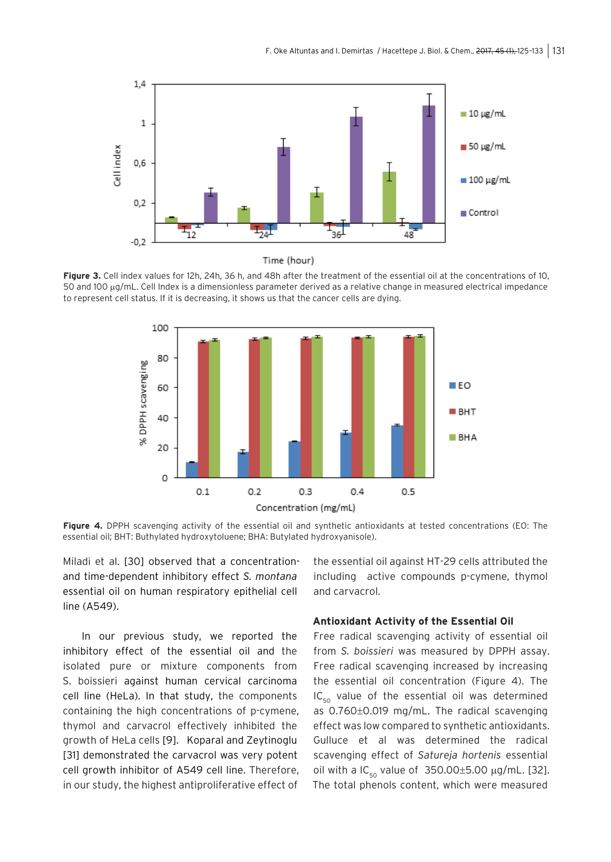

Time (hour)

**Figure 3.** Cell index values for 12h, 24h, 36 h, and 48h after the treatment of the essential oil at the concentrations of 10, 50 and 100 µg/mL. Cell Index is a dimensionless parameter derived as a relative change in measured electrical impedance to represent cell status. If it is decreasing, it shows us that the cancer cells are dying.



**Figure 4.** DPPH scavenging activity of the essential oil and synthetic antioxidants at tested concentrations (EO: The essential oil; BHT: Buthylated hydroxytoluene; BHA: Butylated hydroxyanisole).

Miladi et al. [30] observed that a concentrationand time-dependent inhibitory effect *S. montana* essential oil on human respiratory epithelial cell line (A549).

In our previous study, we reported the inhibitory effect of the essential oil and the isolated pure or mixture components from S. boissieri against human cervical carcinoma cell line (HeLa). In that study, the components containing the high concentrations of p-cymene, thymol and carvacrol effectively inhibited the growth of HeLa cells [9]. Koparal and Zeytinoglu [31] demonstrated the carvacrol was very potent cell growth inhibitor of A549 cell line. Therefore, in our study, the highest antiproliferative effect of the essential oil against HT-29 cells attributed the including active compounds p-cymene, thymol and carvacrol.

## **Antioxidant Activity of the Essential Oil**

Free radical scavenging activity of essential oil from *S. boissieri* was measured by DPPH assay. Free radical scavenging increased by increasing the essential oil concentration (Figure 4). The  $IC_{50}$  value of the essential oil was determined as 0.760±0.019 mg/mL. The radical scavenging effect was low compared to synthetic antioxidants. Gulluce et al was determined the radical scavenging effect of *Satureja hortenis* essential oil with a  $IC_{50}$  value of 350.00 $\pm$ 5.00  $\mu$ g/mL. [32]. The total phenols content, which were measured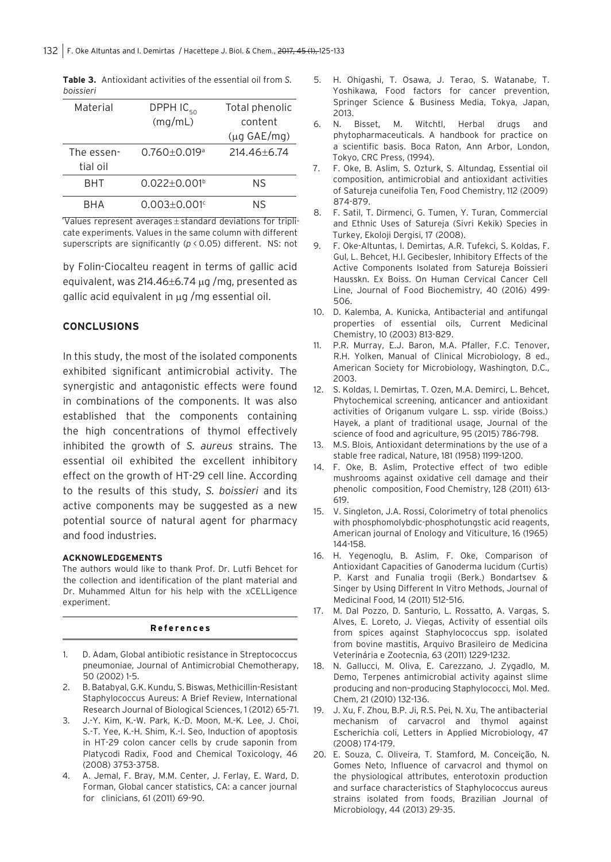| Material   | DPPH IC <sub>50</sub>          | Total phenolic           |
|------------|--------------------------------|--------------------------|
|            | (mq/mL)                        | content                  |
|            |                                | $(\mu q \text{ GAE/mq})$ |
| The essen- | $0.760 \pm 0.019$ <sup>a</sup> | $214.46 + 6.74$          |
| tial oil   |                                |                          |
| <b>BHT</b> | $0.022 \pm 0.001$ <sup>b</sup> | ΝS                       |
| <b>BHA</b> | $0.003 + 0.001$ <sup>c</sup>   | ΝS                       |

**Table 3.** Antioxidant activities of the essential oil from *S. boissieri*

\* Values represent averages ± standard deviations for triplicate experiments. Values in the same column with different superscripts are significantly ( $p$  < 0.05) different. NS: not

by Folin-Ciocalteu reagent in terms of gallic acid equivalent, was 214.46±6.74 µg /mg, presented as gallic acid equivalent in µg /mg essential oil.

## **CONCLUSIONS**

In this study, the most of the isolated components exhibited significant antimicrobial activity. The synergistic and antagonistic effects were found in combinations of the components. It was also established that the components containing the high concentrations of thymol effectively inhibited the growth of *S. aureus* strains. The essential oil exhibited the excellent inhibitory effect on the growth of HT-29 cell line. According to the results of this study, *S. boissieri* and its active components may be suggested as a new potential source of natural agent for pharmacy and food industries.

#### **ACKNOWLEDGEMENTS**

The authors would like to thank Prof. Dr. Lutfi Behcet for the collection and identification of the plant material and Dr. Muhammed Altun for his help with the xCELLigence experiment.

#### **References**

- 1. D. Adam, Global antibiotic resistance in Streptococcus pneumoniae, Journal of Antimicrobial Chemotherapy, 50 (2002) 1-5.
- 2. B. Batabyal, G.K. Kundu, S. Biswas, Methicillin-Resistant Staphylococcus Aureus: A Brief Review, International Research Journal of Biological Sciences, 1 (2012) 65-71.
- 3. J.-Y. Kim, K.-W. Park, K.-D. Moon, M.-K. Lee, J. Choi, S.-T. Yee, K.-H. Shim, K.-I. Seo, Induction of apoptosis in HT-29 colon cancer cells by crude saponin from Platycodi Radix, Food and Chemical Toxicology, 46 (2008) 3753-3758.
- 4. A. Jemal, F. Bray, M.M. Center, J. Ferlay, E. Ward, D. Forman, Global cancer statistics, CA: a cancer journal for clinicians, 61 (2011) 69-90.
- 5. H. Ohigashi, T. Osawa, J. Terao, S. Watanabe, T. Yoshikawa, Food factors for cancer prevention, Springer Science & Business Media, Tokya, Japan, 2013.
- 6. N. Bisset, M. Witchtl, Herbal drugs and phytopharmaceuticals. A handbook for practice on a scientific basis. Boca Raton, Ann Arbor, London, Tokyo, CRC Press, (1994).
- 7. F. Oke, B. Aslim, S. Ozturk, S. Altundag, Essential oil composition, antimicrobial and antioxidant activities of Satureja cuneifolia Ten, Food Chemistry, 112 (2009) 874-879.
- 8. F. Satil, T. Dirmenci, G. Tumen, Y. Turan, Commercial and Ethnic Uses of Satureja (Sivri Kekik) Species in Turkey, Ekoloji Dergisi, 17 (2008).
- 9. F. Oke-Altuntas, I. Demirtas, A.R. Tufekci, S. Koldas, F. Gul, L. Behcet, H.I. Gecibesler, Inhibitory Effects of the Active Components Isolated from Satureja Boissieri Hausskn. Ex Boiss. On Human Cervical Cancer Cell Line, Journal of Food Biochemistry, 40 (2016) 499- 506.
- 10. D. Kalemba, A. Kunicka, Antibacterial and antifungal properties of essential oils, Current Medicinal Chemistry, 10 (2003) 813-829.
- 11. P.R. Murray, E.J. Baron, M.A. Pfaller, F.C. Tenover, R.H. Yolken, Manual of Clinical Microbiology, 8 ed., American Society for Microbiology, Washington, D.C., 2003.
- 12. S. Koldas, I. Demirtas, T. Ozen, M.A. Demirci, L. Behcet, Phytochemical screening, anticancer and antioxidant activities of Origanum vulgare L. ssp. viride (Boiss.) Hayek, a plant of traditional usage, Journal of the science of food and agriculture, 95 (2015) 786-798.
- 13. M.S. Blois, Antioxidant determinations by the use of a stable free radical, Nature, 181 (1958) 1199-1200.
- 14. F. Oke, B. Aslim, Protective effect of two edible mushrooms against oxidative cell damage and their phenolic composition, Food Chemistry, 128 (2011) 613- 619.
- 15. V. Singleton, J.A. Rossi, Colorimetry of total phenolics with phosphomolybdic-phosphotungstic acid reagents, American journal of Enology and Viticulture, 16 (1965) 144-158.
- 16. H. Yegenoglu, B. Aslim, F. Oke, Comparison of Antioxidant Capacities of Ganoderma lucidum (Curtis) P. Karst and Funalia trogii (Berk.) Bondartsev & Singer by Using Different In Vitro Methods, Journal of Medicinal Food, 14 (2011) 512-516.
- 17. M. Dal Pozzo, D. Santurio, L. Rossatto, A. Vargas, S. Alves, E. Loreto, J. Viegas, Activity of essential oils from spices against Staphylococcus spp. isolated from bovine mastitis, Arquivo Brasileiro de Medicina Veterinária e Zootecnia, 63 (2011) 1229-1232.
- 18. N. Gallucci, M. Oliva, E. Carezzano, J. Zygadlo, M. Demo, Terpenes antimicrobial activity against slime producing and non–producing Staphylococci, Mol. Med. Chem, 21 (2010) 132-136.
- 19. J. Xu, F. Zhou, B.P. Ji, R.S. Pei, N. Xu, The antibacterial mechanism of carvacrol and thymol against Escherichia coli, Letters in Applied Microbiology, 47 (2008) 174-179.
- 20. E. Souza, C. Oliveira, T. Stamford, M. Conceição, N. Gomes Neto, Influence of carvacrol and thymol on the physiological attributes, enterotoxin production and surface characteristics of Staphylococcus aureus strains isolated from foods, Brazilian Journal of Microbiology, 44 (2013) 29-35.